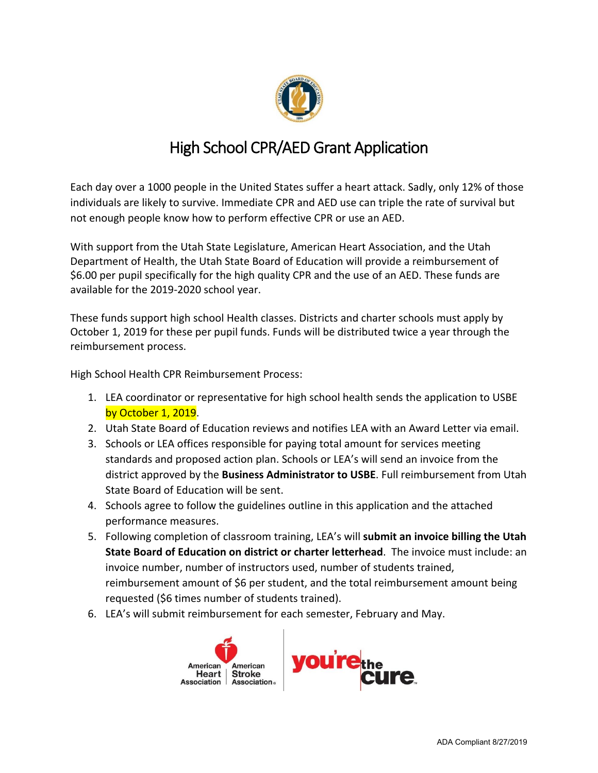

## High School CPR/AED Grant Application

Each day over a 1000 people in the United States suffer a heart attack. Sadly, only 12% of those individuals are likely to survive. Immediate CPR and AED use can triple the rate of survival but not enough people know how to perform effective CPR or use an AED.

With support from the Utah State Legislature, American Heart Association, and the Utah Department of Health, the Utah State Board of Education will provide a reimbursement of \$6.00 per pupil specifically for the high quality CPR and the use of an AED. These funds are available for the 2019-2020 school year.

These funds support high school Health classes. Districts and charter schools must apply by October 1, 2019 for these per pupil funds. Funds will be distributed twice a year through the reimbursement process.

High School Health CPR Reimbursement Process:

- 1. LEA coordinator or representative for high school health sends the application to USBE by October 1, 2019.
- 2. Utah State Board of Education reviews and notifies LEA with an Award Letter via email.
- 3. Schools or LEA offices responsible for paying total amount for services meeting standards and proposed action plan. Schools or LEA's will send an invoice from the district approved by the **Business Administrator to USBE**. Full reimbursement from Utah State Board of Education will be sent.
- 4. Schools agree to follow the guidelines outline in this application and the attached performance measures.
- 5. Following completion of classroom training, LEA's will **submit an invoice billing the Utah State Board of Education on district or charter letterhead**. The invoice must include: an invoice number, number of instructors used, number of students trained, reimbursement amount of \$6 per student, and the total reimbursement amount being requested (\$6 times number of students trained).
- 6. LEA's will submit reimbursement for each semester, February and May.

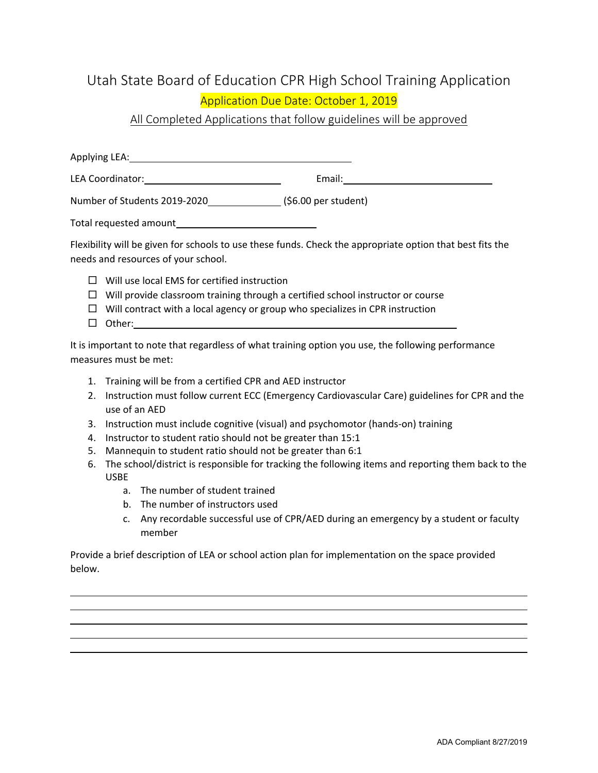## Utah State Board of Education CPR High School Training Application

## Application Due Date: October 1, 2019

All Completed Applications that follow guidelines will be approved

| Applying LEA: |  |  |  |
|---------------|--|--|--|
|               |  |  |  |

LEA Coordinator: Email:

Number of Students 2019-2020\_\_\_\_\_\_\_\_\_\_\_\_\_\_\_\_(\$6.00 per student)

Total requested amount<br>
<u>Letting</u>

Flexibility will be given for schools to use these funds. Check the appropriate option that best fits the needs and resources of your school.

- $\Box$  Will use local EMS for certified instruction
- $\Box$  Will provide classroom training through a certified school instructor or course
- $\Box$  Will contract with a local agency or group who specializes in CPR instruction
- □ Other:

It is important to note that regardless of what training option you use, the following performance measures must be met:

- 1. Training will be from a certified CPR and AED instructor
- 2. Instruction must follow current ECC (Emergency Cardiovascular Care) guidelines for CPR and the use of an AED
- 3. Instruction must include cognitive (visual) and psychomotor (hands-on) training
- 4. Instructor to student ratio should not be greater than 15:1
- 5. Mannequin to student ratio should not be greater than 6:1
- 6. The school/district is responsible for tracking the following items and reporting them back to the USBE
	- a. The number of student trained
	- b. The number of instructors used
	- c. Any recordable successful use of CPR/AED during an emergency by a student or faculty member

Provide a brief description of LEA or school action plan for implementation on the space provided below.